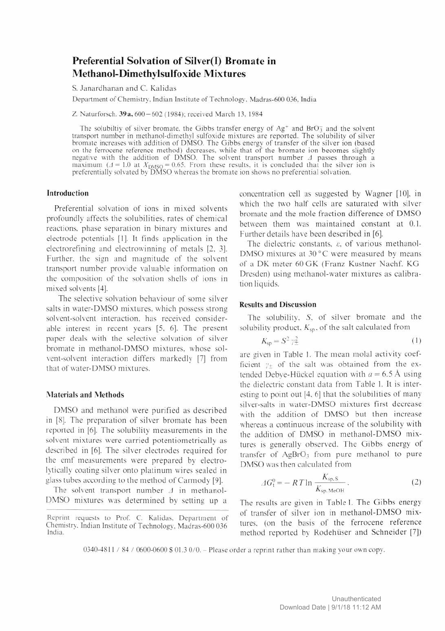# Preferential Solvation of Silver(I) Bromate in Methanol-Dimethylsulfoxide Mixtures

S. Janardhanan and C. Kalidas

Department of Chemistry. Indian Institute of Technology. Madras-600 036. India

Z. Naturforsch. 39a, 600-602 (1984); received March 13, 1984

The solubiltiv of silver bromate, the Gibbs transfer energy of  $Ag^+$  and BrO<sub> $3$ </sub> and the solvent transport number in methanol-dimethyl sulfoxide mixtures are reported. The solubility of silver bromate increases with addition of DMSO. The Gibbs energy of transfer of the silver ion (based on the ferrocene reference method) decreases, while that of the bromate ion becomes slightly negative with the addition of DMSO. The solvent transport number  $\Lambda$  passes through a maximum ( $\Delta$  = 1.0 at  $X_{\text{DMSO}} = 0.65$ . From these results, it is concluded that the silver ion is preferentially solvated by DMSO whereas the bromate ion shows no preferential solvation.

## Introduction

Preferential solvation of ions in mixed solvents profoundly affects the solubilities, rates of chemical reactions, phase separation in binary mixtures and electrode potentials [1], It finds application in the electrorefining and electrowinning of metals [2, 3]. Further, the sign and magnitude of the solvent transport number provide valuable information on the composition of the solvation shells of ions in mixed solvents [4],

The selective solvation behaviour of some silver salts in water-DMSO mixtures, which possess strong solvent-solvent interaction, has received considerable interest in recent years [5. 6]. The present paper deals with the selective solvation of silver bromate in methanol-DMSO mixtures, whose solvent-solvent interaction differs markedly [7] from that of water-DMSO mixtures.

#### Materials and Methods

DMSO and methanol were purified as described in [8]. The preparation of silver bromate has been reported in [6]. The solubility measurements in the solvent mixtures were carried potentiometrically as described in [6]. The silver electrodes required for the emf measurements were prepared by electrolytically coating silver onto platinum wires sealed in glass tubes according to the method of Carmody [9],

The solvent transport number  $\Delta$  in methanol-DMSO mixtures was determined by setting up a

Reprint requests to Prof. C. Kalidas. Department of Chemistry. Indian Institute of Technology. Madras-600 036 India.

concentration cell as suggested by Wagner [10], in which the two half cells are saturated with silver bromate and the mole fraction difference of DMSO between them was maintained constant at 0.1. Further details have been described in [6].

The dielectric constants,  $\varepsilon$ , of various methanol-DMSO mixtures at 30 °C were measured by means of a DK meter 60 GK (Franz Kustner Nachf. KG Dresden) using methanol-water mixtures as calibration liquids.

### Results and Discussion

The solubility, S, of silver bromate and the solubility product,  $K<sub>sn</sub>$ , of the salt calculated from

$$
K_{\rm sp} = S^2 \gamma_{\pm}^2 \tag{1}
$$

are given in Table 1. The mean molal activity coefficient  $y_+$  of the salt was obtained from the extended Debve-Hückel equation with  $a = 6.5$  Å using the dielectric constant data from Table 1. It is interesting to point out [4. 6] that the solubilities of many silver-salts in water-DMSO mixtures first decrease with the addition of DMSO but then increase whereas a continuous increase of the solubility with the addition of DMSO in methanol-DMSO mixtures is generally observed. The Gibbs energy of transfer of  $AgBrO<sub>3</sub>$  from pure methanol to pure DMSO was then calculated from

$$
\Delta G_1^0 = -RT \ln \frac{K_{\text{sp.S.}}}{K_{\text{sp.MeOH}}}.
$$
 (2)

The results are given in Table 1. The Gibbs energy of transfer of silver ion in methanol-DMSO mixtures. (on the basis of the ferrocene reference method reported by Rodehiiser and Schneider [7])

0340-4811 / 84 / 0600-0600 \$ 01.3 0/0. - Please order a reprint rather than making your own copy.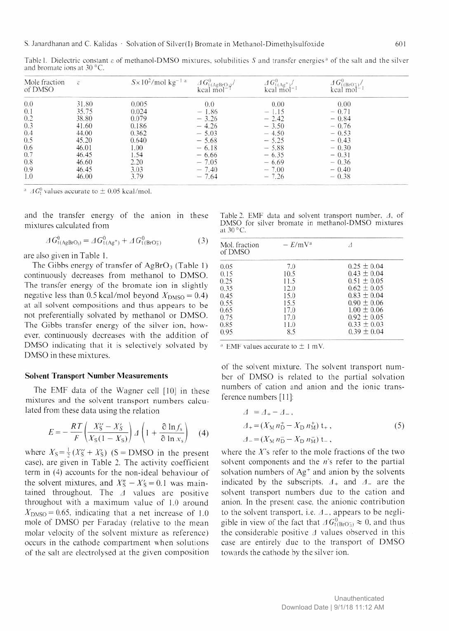|                                     | Table I. Dielectric constant $\varepsilon$ of methanol-DMSO mixtures, solubilities S and transfer energies <sup>a</sup> of the salt and the silver |  |  |  |
|-------------------------------------|----------------------------------------------------------------------------------------------------------------------------------------------------|--|--|--|
| and bromate ions at $30^{\circ}$ C. |                                                                                                                                                    |  |  |  |
|                                     |                                                                                                                                                    |  |  |  |

| Mole fraction<br>of DMSO                                             | $\mathcal{E}$ | $S \times 10^2$ /mol kg <sup>-1 a</sup> | $AG_{1}^{0}(AgB_{1}O_{3})$<br>$kcal$ mol <sup>-1</sup> | $\frac{\Delta G_{1(Ag^+)}^0}{\text{kcal mol}^{-1}}$ | $\Delta G_{\rm t(BrO3)}^{0}/$<br>$k$ cal mol $^{-1}$ |
|----------------------------------------------------------------------|---------------|-----------------------------------------|--------------------------------------------------------|-----------------------------------------------------|------------------------------------------------------|
| $\begin{array}{c} 0.0 \\ 0.1 \end{array}$                            | 31.80         | 0.005                                   | 0.0                                                    | 0.00                                                | 0.00                                                 |
|                                                                      | 35.75         | 0.024                                   | $-1.86$                                                | $-1.15$                                             | $-0.71$                                              |
|                                                                      | 38.80         | 0.079                                   | $-3.26$                                                | $-2.42$                                             | $-0.84$                                              |
|                                                                      | 41.60         | 0.186                                   | $-4.26$                                                | $-3.50$                                             | $-0.76$                                              |
| $0.2$<br>0.3<br>0.4<br>0.5<br>0.6<br>0.5<br>0.6<br>0.7<br>0.8<br>0.9 | 44.00         | 0.362                                   | $-5.03$                                                | $-4.50$                                             | $-0.53$                                              |
|                                                                      | 45.20         | 0.640                                   | $-5.68$                                                | $-5.25$                                             | $-0.43$                                              |
|                                                                      | 46.01         | 1.00                                    | $-6.18$                                                | $-5.88$                                             | $-0.30$                                              |
|                                                                      | 46.45         | 1.54                                    | $-6.66$                                                | $-6.35$                                             | $-0.31$                                              |
|                                                                      | 46.60         | 2.20                                    | $-7.05$                                                | $-6.69$                                             | $-0.36$                                              |
|                                                                      | 46.45         | 3.03                                    | $-7.40$                                                | $-7.00$                                             | $-0.40$                                              |
| 1.0                                                                  | 46.00         | 3.79                                    | $-7.64$                                                | $-7.26$                                             | $-0.38$                                              |

<sup>a</sup>  $AG<sup>0</sup>$  values accurate to  $\pm$  0.05 kcal/mol.

and the transfer energy of the anion in these mixtures calculated from

$$
\Delta G_{t(\text{AgBrO}_3)}^0 = \Delta G_{t(\text{Ag}^+)}^0 + \Delta G_{t(\text{BrO}_3^-)}^0 \tag{3}
$$

are also given in Table 1.

The Gibbs energy of transfer of  $AgBrO<sub>3</sub>$  (Table 1) continuously decreases from methanol to DMSO. The transfer energy of the bromate ion in slightly negative less than 0.5 kcal/mol beyond  $X_{\text{DMSO}} = 0.4$ ) at all solvent compositions and thus appears to be not preferentially solvated by methanol or DMSO. The Gibbs transfer energy of the silver ion, however, continuously decreases with the addition of DMSO indicating that it is selectively solvated by DMSO in these mixtures.

#### Solvent Transport Number Measurements

The EMF data of the Wagner cell [10] in these mixtures and the solvent transport numbers calculated from these data using the relation

$$
E = -\frac{RT}{F} \left( \frac{X_5^{\prime\prime} - X_5^{\prime}}{X_5 (1 - X_5)} \right) \varDelta \left( 1 + \frac{\partial \ln f_s}{\partial \ln x_s} \right) \tag{4}
$$

where  $X_S = \frac{1}{2} (X_S'' + X_S')$  (S = DMSO in the present case), are given in Table 2. The activity coefficient term in (4) accounts for the non-ideal behaviour of the solvent mixtures, and  $X''_S - X'_S = 0.1$  was maintained throughout. The  $\Delta$  values are positive throughout with a maximum value of 1.0 around  $X_{\text{DMSO}}=0.65$ , indicating that a net increase of 1.0 mole of DMSO per Faraday (relative to the mean molar velocity of the solvent mixture as reference) occurs in the cathode compartment when solutions of the salt are electrolysed at the given composition

Table 2. EMF data and solvent transport number,  $\Lambda$ , of DMSO for silver bromate in methanol-DMSO mixtures at 30 °C.

| Mol. fraction<br>of DMSO | $-E/mVa$ |                 |
|--------------------------|----------|-----------------|
| 0.05                     | 7.0      | $0.25 \pm 0.04$ |
| 0.15                     | 10.5     | $0.43 \pm 0.04$ |
| 0.25                     | 11.5     | $0.51 \pm 0.05$ |
| 0.35                     | 12.0     | $0.62 \pm 0.05$ |
| 0.45                     | 15.0     | $0.83 + 0.04$   |
| 0.55                     | 15.5     | $0.90 \pm 0.06$ |
| 0.65                     | 17.0     | $1.00 \pm 0.06$ |
| 0.75                     | 17.0     | $0.92 \pm 0.05$ |
| 0.85                     | 11.0     | $0.33 \pm 0.03$ |
| 0.95                     | 8.5      | $0.39 \pm 0.04$ |

<sup>a</sup> EMF values accurate to  $\pm$  1 mV.

of the solvent mixture. The solvent transport number of DMSO is related to the partial solvation numbers of cation and anion and the ionic transference numbers [11]:

$$
A = A_{+} - A_{-},
$$
  
\n
$$
A_{+} = (X_{\text{M}} n_{\text{D}}^{+} - X_{\text{D}} n_{\text{M}}^{+}) t_{+},
$$
  
\n
$$
A_{-} = (X_{\text{M}} n_{\text{D}}^{-} - X_{\text{D}} n_{\text{M}}^{-}) t_{-},
$$
\n(5)

where the  $X$ 's refer to the mole fractions of the two solvent components and the  $n$ 's refer to the partial solvation numbers of  $Ag<sup>+</sup>$  and anion by the solvents indicated by the subscripts.  $A_+$  and  $A_-$  are the solvent transport numbers due to the cation and anion. In the present case, the anionic contribution to the solvent transport, i.e.  $\Delta_{-}$ , appears to be negligible in view of the fact that  $AG<sup>0</sup><sub>t(BrO<sub>3</sub>)</sub> \approx 0$ , and thus the considerable positive  $\Delta$  values observed in this case are entirely due to the transport of DMSO towards the cathode by the silver ion.